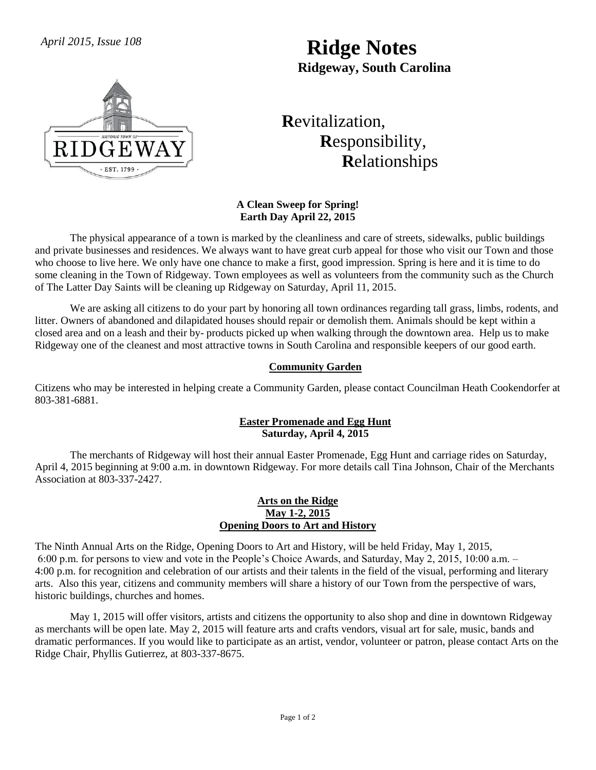# *April 2015, Issue 108* **Ridge Notes Ridgeway, South Carolina**



# **R**evitalization,  **R**esponsibility,  **R**elationships

### **A Clean Sweep for Spring! Earth Day April 22, 2015**

The physical appearance of a town is marked by the cleanliness and care of streets, sidewalks, public buildings and private businesses and residences. We always want to have great curb appeal for those who visit our Town and those who choose to live here. We only have one chance to make a first, good impression. Spring is here and it is time to do some cleaning in the Town of Ridgeway. Town employees as well as volunteers from the community such as the Church of The Latter Day Saints will be cleaning up Ridgeway on Saturday, April 11, 2015.

We are asking all citizens to do your part by honoring all town ordinances regarding tall grass, limbs, rodents, and litter. Owners of abandoned and dilapidated houses should repair or demolish them. Animals should be kept within a closed area and on a leash and their by- products picked up when walking through the downtown area. Help us to make Ridgeway one of the cleanest and most attractive towns in South Carolina and responsible keepers of our good earth.

# **Community Garden**

Citizens who may be interested in helping create a Community Garden, please contact Councilman Heath Cookendorfer at 803-381-6881.

### **Easter Promenade and Egg Hunt Saturday, April 4, 2015**

The merchants of Ridgeway will host their annual Easter Promenade, Egg Hunt and carriage rides on Saturday, April 4, 2015 beginning at 9:00 a.m. in downtown Ridgeway. For more details call Tina Johnson, Chair of the Merchants Association at 803-337-2427.

#### **Arts on the Ridge May 1-2, 2015 Opening Doors to Art and History**

The Ninth Annual Arts on the Ridge, Opening Doors to Art and History, will be held Friday, May 1, 2015, 6:00 p.m. for persons to view and vote in the People's Choice Awards, and Saturday, May 2, 2015, 10:00 a.m. – 4:00 p.m. for recognition and celebration of our artists and their talents in the field of the visual, performing and literary arts. Also this year, citizens and community members will share a history of our Town from the perspective of wars, historic buildings, churches and homes.

May 1, 2015 will offer visitors, artists and citizens the opportunity to also shop and dine in downtown Ridgeway as merchants will be open late. May 2, 2015 will feature arts and crafts vendors, visual art for sale, music, bands and dramatic performances. If you would like to participate as an artist, vendor, volunteer or patron, please contact Arts on the Ridge Chair, Phyllis Gutierrez, at 803-337-8675.